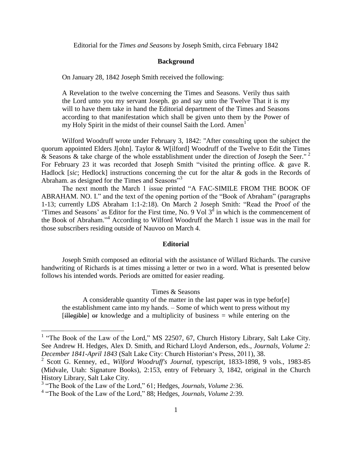Editorial for the *Times and Seasons* by Joseph Smith, circa February 1842

### **Background**

On January 28, 1842 Joseph Smith received the following:

A Revelation to the twelve concerning the Times and Seasons. Verily thus saith the Lord unto you my servant Joseph. go and say unto the Twelve That it is my will to have them take in hand the Editorial department of the Times and Seasons according to that manifestation which shall be given unto them by the Power of my Holy Spirit in the midst of their counsel Saith the Lord. Amen<sup>1</sup>

Wilford Woodruff wrote under February 3, 1842: "After consulting upon the subject the quorum appointed Elders J[ohn]. Taylor & W[ilford] Woodruff of the Twelve to Edit the Times  $\&$  Seasons  $\&$  take charge of the whole esstablishment under the direction of Joseph the Seer."<sup>2</sup> For February 23 it was recorded that Joseph Smith "visited the printing office. & gave R. Hadlock [*sic*; Hedlock] instructions concerning the cut for the altar & gods in the Records of Abraham. as designed for the Times and Seasons"<sup>3</sup>

The next month the March 1 issue printed "A FAC-SIMILE FROM THE BOOK OF ABRAHAM. NO. I." and the text of the opening portion of the "Book of Abraham" (paragraphs 1-13; currently LDS Abraham 1:1-2:18). On March 2 Joseph Smith: "Read the Proof of the 'Times and Seasons' as Editor for the First time, No. 9 Vol  $3<sup>d</sup>$  in which is the commencement of the Book of Abraham." <sup>4</sup> According to Wilford Woodruff the March 1 issue was in the mail for those subscribers residing outside of Nauvoo on March 4.

#### **Editorial**

Joseph Smith composed an editorial with the assistance of Willard Richards. The cursive handwriting of Richards is at times missing a letter or two in a word. What is presented below follows his intended words. Periods are omitted for easier reading.

Times & Seasons

A considerable quantity of the matter in the last paper was in type befor[e] the establishment came into my hands. – Some of which went to press without my [illegible] or knowledge and a multiplicity of business = while entering on the

<sup>&</sup>lt;sup>1</sup> "The Book of the Law of the Lord," MS 22507, 67, Church History Library, Salt Lake City. See Andrew H. Hedges, Alex D. Smith, and Richard Lloyd Anderson, eds., *Journals, Volume 2: December 1841-April 1843* (Salt Lake City: Church Historian's Press, 2011), 38.

<sup>2</sup> Scott G. Kenney, ed., *Wilford Woodruff's Journal*, typescript, 1833-1898, 9 vols., 1983-85 (Midvale, Utah: Signature Books), 2:153, entry of February 3, 1842, original in the Church History Library, Salt Lake City.

<sup>&</sup>lt;sup>3</sup> "The Book of the Law of the Lord," 61; Hedges, *Journals, Volume 2:36*.

<sup>&</sup>lt;sup>4</sup> "The Book of the Law of the Lord," 88; Hedges, *Journals, Volume 2:39*.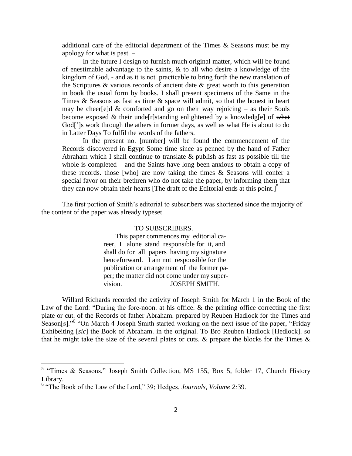additional care of the editorial department of the Times  $\&$  Seasons must be my apology for what is past. –

In the future I design to furnish much original matter, which will be found of enestimable advantage to the saints, & to all who desire a knowledge of the kingdom of God, - and as it is not practicable to bring forth the new translation of the Scriptures & various records of ancient date & great worth to this generation in book the usual form by books. I shall present specimens of the Same in the Times & Seasons as fast as time & space will admit, so that the honest in heart may be cheer[e]d  $\&$  comforted and go on their way rejoicing – as their Souls become exposed  $&$  their unde[r]standing enlightened by a knowledg[e] of what God[']s work through the athers in former days, as well as what He is about to do in Latter Days To fulfil the words of the fathers.

In the present no. [number] will be found the commencement of the Records discovered in Egypt Some time since as penned by the hand of Father Abraham which I shall continue to translate  $\&$  publish as fast as possible till the whole is completed – and the Saints have long been anxious to obtain a copy of these records. those [who] are now taking the times & Seasons will confer a special favor on their brethren who do not take the paper, by informing them that they can now obtain their hearts [The draft of the Editorial ends at this point.]<sup>5</sup>

The first portion of Smith's editorial to subscribers was shortened since the majority of the content of the paper was already typeset.

#### TO SUBSCRIBERS.

 This paper commences my editorial career, I alone stand responsible for it, and shall do for all papers having my signature henceforward. I am not responsible for the publication or arrangement of the former paper; the matter did not come under my supervision. JOSEPH SMITH.

Willard Richards recorded the activity of Joseph Smith for March 1 in the Book of the Law of the Lord: "During the fore-noon. at his office. & the printing office correcting the first plate or cut. of the Records of father Abraham. prepared by Reuben Hadlock for the Times and Season[s]."<sup>6</sup> "On March 4 Joseph Smith started working on the next issue of the paper, "Friday Exhibeiting [*sic*] the Book of Abraham. in the original. To Bro Reuben Hadlock [Hedlock]. so that he might take the size of the several plates or cuts. & prepare the blocks for the Times &

<sup>&</sup>lt;sup>5</sup> "Times & Seasons," Joseph Smith Collection, MS 155, Box 5, folder 17, Church History Library.

<sup>&</sup>lt;sup>6</sup> "The Book of the Law of the Lord," 39; Hedges, *Journals, Volume 2:39*.